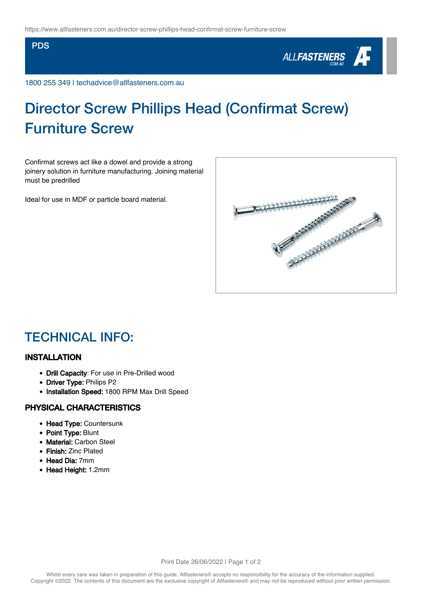#### PDS



1800 255 349 | techadvice@allfasteners.com.au

# Director Screw Phillips Head (Confirmat Screw) Furniture Screw

Confirmat screws act like a dowel and provide a strong joinery solution in furniture manufacturing. Joining material must be predrilled

Ideal for use in MDF or particle board material.



### TECHNICAL INFO:

#### INSTALLATION

- Drill Capacity: For use in Pre-Drilled wood
- Driver Type: Philips P2
- Installation Speed: 1800 RPM Max Drill Speed

#### PHYSICAL CHARACTERISTICS

- Head Type: Countersunk
- Point Type: Blunt
- Material: Carbon Steel
- Finish: Zinc Plated
- Head Dia: 7mm
- Head Height: 1.2mm

Print Date 26/06/2022 | Page 1 of 2